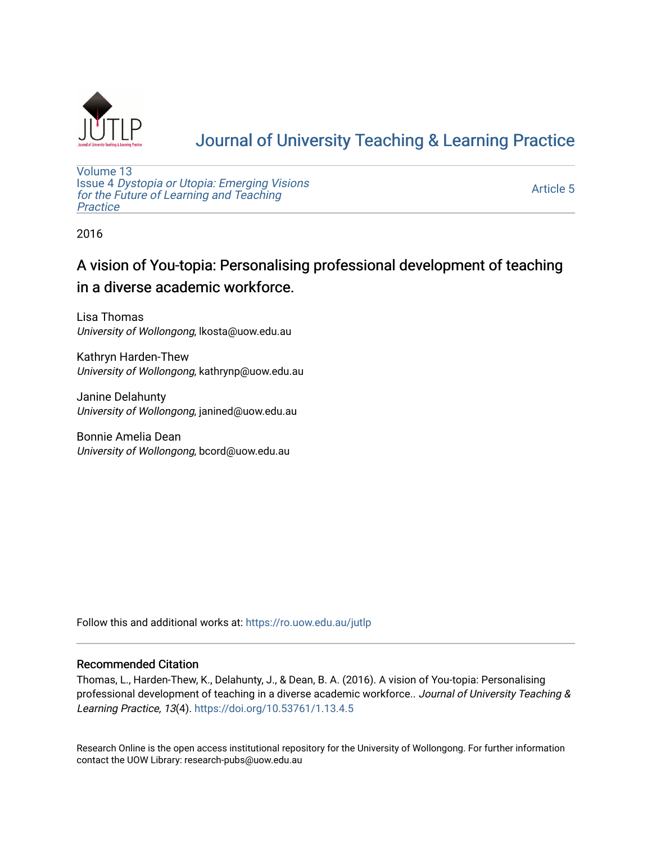

# [Journal of University Teaching & Learning Practice](https://ro.uow.edu.au/jutlp)

[Volume 13](https://ro.uow.edu.au/jutlp/vol13) Issue 4 [Dystopia or Utopia: Emerging Visions](https://ro.uow.edu.au/jutlp/vol13/iss4) [for the Future of Learning and Teaching](https://ro.uow.edu.au/jutlp/vol13/iss4) **Practice** 

[Article 5](https://ro.uow.edu.au/jutlp/vol13/iss4/5) 

2016

## A vision of You-topia: Personalising professional development of teaching in a diverse academic workforce.

Lisa Thomas University of Wollongong, lkosta@uow.edu.au

Kathryn Harden-Thew University of Wollongong, kathrynp@uow.edu.au

Janine Delahunty University of Wollongong, janined@uow.edu.au

Bonnie Amelia Dean University of Wollongong, bcord@uow.edu.au

Follow this and additional works at: [https://ro.uow.edu.au/jutlp](https://ro.uow.edu.au/jutlp?utm_source=ro.uow.edu.au%2Fjutlp%2Fvol13%2Fiss4%2F5&utm_medium=PDF&utm_campaign=PDFCoverPages) 

#### Recommended Citation

Thomas, L., Harden-Thew, K., Delahunty, J., & Dean, B. A. (2016). A vision of You-topia: Personalising professional development of teaching in a diverse academic workforce.. Journal of University Teaching & Learning Practice, 13(4). <https://doi.org/10.53761/1.13.4.5>

Research Online is the open access institutional repository for the University of Wollongong. For further information contact the UOW Library: research-pubs@uow.edu.au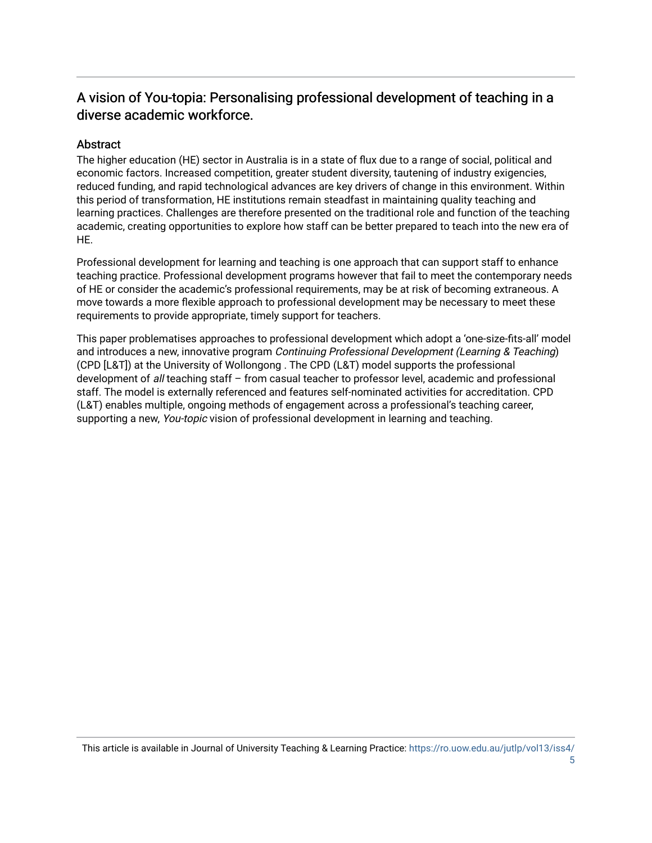## A vision of You-topia: Personalising professional development of teaching in a diverse academic workforce.

#### **Abstract**

The higher education (HE) sector in Australia is in a state of flux due to a range of social, political and economic factors. Increased competition, greater student diversity, tautening of industry exigencies, reduced funding, and rapid technological advances are key drivers of change in this environment. Within this period of transformation, HE institutions remain steadfast in maintaining quality teaching and learning practices. Challenges are therefore presented on the traditional role and function of the teaching academic, creating opportunities to explore how staff can be better prepared to teach into the new era of HE.

Professional development for learning and teaching is one approach that can support staff to enhance teaching practice. Professional development programs however that fail to meet the contemporary needs of HE or consider the academic's professional requirements, may be at risk of becoming extraneous. A move towards a more flexible approach to professional development may be necessary to meet these requirements to provide appropriate, timely support for teachers.

This paper problematises approaches to professional development which adopt a 'one-size-fits-all' model and introduces a new, innovative program Continuing Professional Development (Learning & Teaching) (CPD [L&T]) at the University of Wollongong . The CPD (L&T) model supports the professional development of all teaching staff – from casual teacher to professor level, academic and professional staff. The model is externally referenced and features self-nominated activities for accreditation. CPD (L&T) enables multiple, ongoing methods of engagement across a professional's teaching career, supporting a new, You-topic vision of professional development in learning and teaching.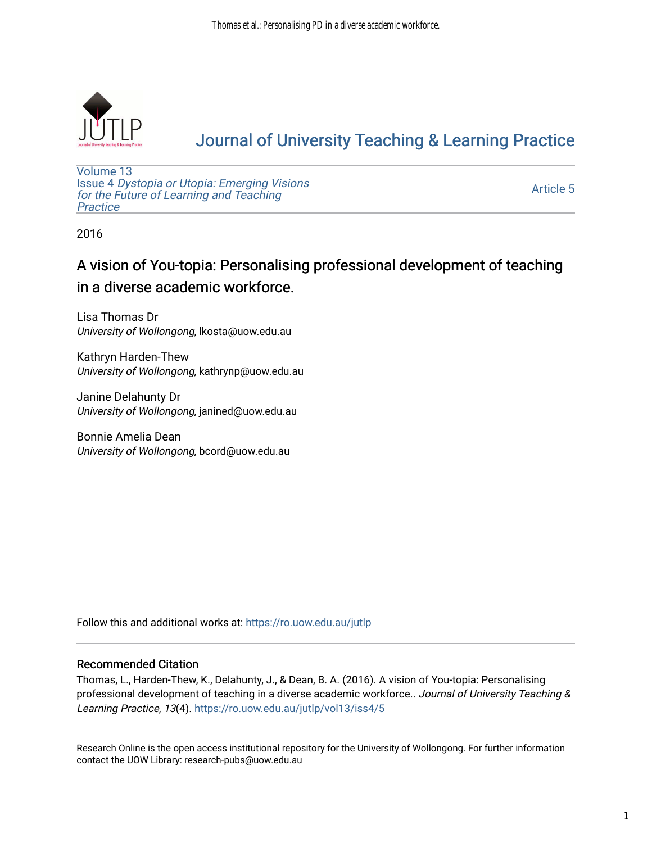

# [Journal of University Teaching & Learning Practice](https://ro.uow.edu.au/jutlp)

[Volume 13](https://ro.uow.edu.au/jutlp/vol13) Issue 4 [Dystopia or Utopia: Emerging Visions](https://ro.uow.edu.au/jutlp/vol13/iss4) [for the Future of Learning and Teaching](https://ro.uow.edu.au/jutlp/vol13/iss4) **Practice** 

[Article 5](https://ro.uow.edu.au/jutlp/vol13/iss4/5) 

2016

## A vision of You-topia: Personalising professional development of teaching in a diverse academic workforce.

Lisa Thomas Dr University of Wollongong, lkosta@uow.edu.au

Kathryn Harden-Thew University of Wollongong, kathrynp@uow.edu.au

Janine Delahunty Dr University of Wollongong, janined@uow.edu.au

Bonnie Amelia Dean University of Wollongong, bcord@uow.edu.au

Follow this and additional works at: [https://ro.uow.edu.au/jutlp](https://ro.uow.edu.au/jutlp?utm_source=ro.uow.edu.au%2Fjutlp%2Fvol13%2Fiss4%2F5&utm_medium=PDF&utm_campaign=PDFCoverPages) 

#### Recommended Citation

Thomas, L., Harden-Thew, K., Delahunty, J., & Dean, B. A. (2016). A vision of You-topia: Personalising professional development of teaching in a diverse academic workforce.. Journal of University Teaching & Learning Practice, 13(4). [https://ro.uow.edu.au/jutlp/vol13/iss4/5](https://ro.uow.edu.au/jutlp/vol13/iss4/5?utm_source=ro.uow.edu.au%2Fjutlp%2Fvol13%2Fiss4%2F5&utm_medium=PDF&utm_campaign=PDFCoverPages)

Research Online is the open access institutional repository for the University of Wollongong. For further information contact the UOW Library: research-pubs@uow.edu.au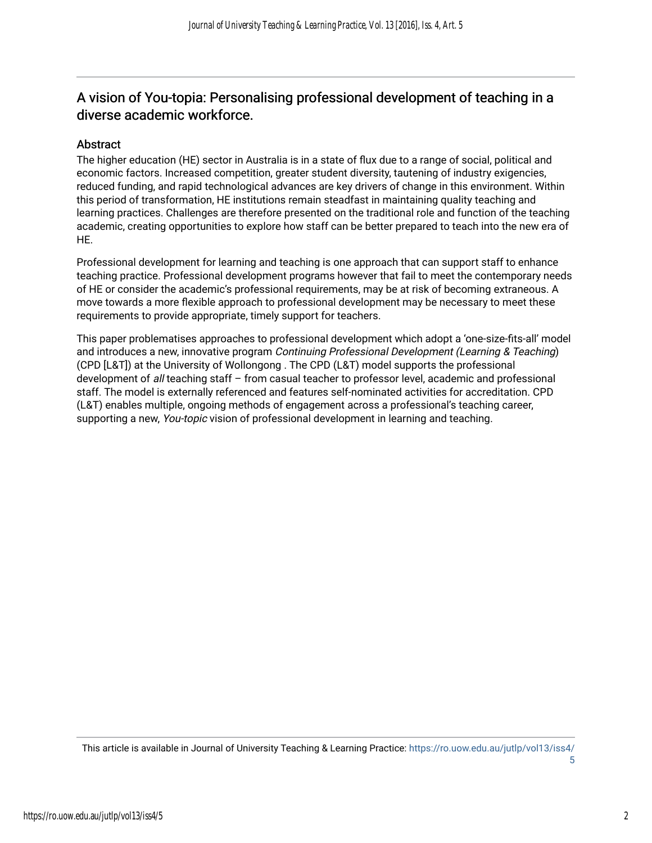## A vision of You-topia: Personalising professional development of teaching in a diverse academic workforce.

#### Abstract

The higher education (HE) sector in Australia is in a state of flux due to a range of social, political and economic factors. Increased competition, greater student diversity, tautening of industry exigencies, reduced funding, and rapid technological advances are key drivers of change in this environment. Within this period of transformation, HE institutions remain steadfast in maintaining quality teaching and learning practices. Challenges are therefore presented on the traditional role and function of the teaching academic, creating opportunities to explore how staff can be better prepared to teach into the new era of HE.

Professional development for learning and teaching is one approach that can support staff to enhance teaching practice. Professional development programs however that fail to meet the contemporary needs of HE or consider the academic's professional requirements, may be at risk of becoming extraneous. A move towards a more flexible approach to professional development may be necessary to meet these requirements to provide appropriate, timely support for teachers.

This paper problematises approaches to professional development which adopt a 'one-size-fits-all' model and introduces a new, innovative program Continuing Professional Development (Learning & Teaching) (CPD [L&T]) at the University of Wollongong . The CPD (L&T) model supports the professional development of all teaching staff – from casual teacher to professor level, academic and professional staff. The model is externally referenced and features self-nominated activities for accreditation. CPD (L&T) enables multiple, ongoing methods of engagement across a professional's teaching career, supporting a new, You-topic vision of professional development in learning and teaching.

This article is available in Journal of University Teaching & Learning Practice: [https://ro.uow.edu.au/jutlp/vol13/iss4/](https://ro.uow.edu.au/jutlp/vol13/iss4/5)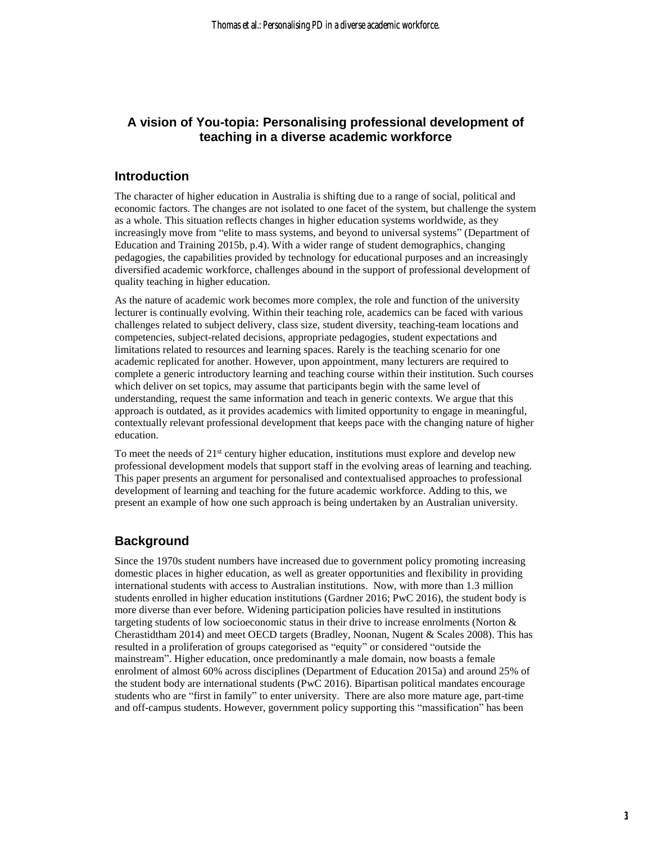#### **A vision of You-topia: Personalising professional development of teaching in a diverse academic workforce**

#### **Introduction**

The character of higher education in Australia is shifting due to a range of social, political and economic factors. The changes are not isolated to one facet of the system, but challenge the system as a whole. This situation reflects changes in higher education systems worldwide, as they increasingly move from "elite to mass systems, and beyond to universal systems" (Department of Education and Training 2015b, p.4). With a wider range of student demographics, changing pedagogies, the capabilities provided by technology for educational purposes and an increasingly diversified academic workforce, challenges abound in the support of professional development of quality teaching in higher education.

As the nature of academic work becomes more complex, the role and function of the university lecturer is continually evolving. Within their teaching role, academics can be faced with various challenges related to subject delivery, class size, student diversity, teaching-team locations and competencies, subject-related decisions, appropriate pedagogies, student expectations and limitations related to resources and learning spaces. Rarely is the teaching scenario for one academic replicated for another. However, upon appointment, many lecturers are required to complete a generic introductory learning and teaching course within their institution. Such courses which deliver on set topics, may assume that participants begin with the same level of understanding, request the same information and teach in generic contexts. We argue that this approach is outdated, as it provides academics with limited opportunity to engage in meaningful, contextually relevant professional development that keeps pace with the changing nature of higher education.

To meet the needs of  $21<sup>st</sup>$  century higher education, institutions must explore and develop new professional development models that support staff in the evolving areas of learning and teaching. This paper presents an argument for personalised and contextualised approaches to professional development of learning and teaching for the future academic workforce. Adding to this, we present an example of how one such approach is being undertaken by an Australian university.

#### **Background**

Since the 1970s student numbers have increased due to government policy promoting increasing domestic places in higher education, as well as greater opportunities and flexibility in providing international students with access to Australian institutions. Now, with more than 1.3 million students enrolled in higher education institutions (Gardner 2016; PwC 2016), the student body is more diverse than ever before. Widening participation policies have resulted in institutions targeting students of low socioeconomic status in their drive to increase enrolments (Norton & Cherastidtham 2014) and meet OECD targets (Bradley, Noonan, Nugent & Scales 2008). This has resulted in a proliferation of groups categorised as "equity" or considered "outside the mainstream". Higher education, once predominantly a male domain, now boasts a female enrolment of almost 60% across disciplines (Department of Education 2015a) and around 25% of the student body are international students (PwC 2016). Bipartisan political mandates encourage students who are "first in family" to enter university. There are also more mature age, part-time and off-campus students. However, government policy supporting this "massification" has been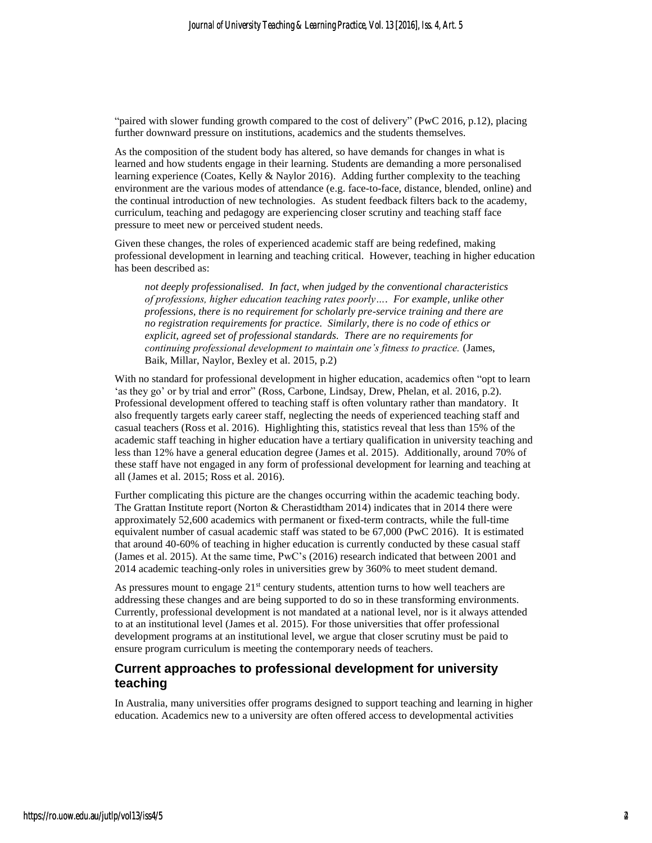"paired with slower funding growth compared to the cost of delivery" (PwC 2016, p.12), placing further downward pressure on institutions, academics and the students themselves.

As the composition of the student body has altered, so have demands for changes in what is learned and how students engage in their learning. Students are demanding a more personalised learning experience (Coates, Kelly & Naylor 2016). Adding further complexity to the teaching environment are the various modes of attendance (e.g. face-to-face, distance, blended, online) and the continual introduction of new technologies. As student feedback filters back to the academy, curriculum, teaching and pedagogy are experiencing closer scrutiny and teaching staff face pressure to meet new or perceived student needs.

Given these changes, the roles of experienced academic staff are being redefined, making professional development in learning and teaching critical. However, teaching in higher education has been described as:

*not deeply professionalised. In fact, when judged by the conventional characteristics of professions, higher education teaching rates poorly…. For example, unlike other professions, there is no requirement for scholarly pre-service training and there are no registration requirements for practice. Similarly, there is no code of ethics or explicit, agreed set of professional standards. There are no requirements for continuing professional development to maintain one's fitness to practice.* (James, Baik, Millar, Naylor, Bexley et al. 2015, p.2)

With no standard for professional development in higher education, academics often "opt to learn 'as they go' or by trial and error" (Ross, Carbone, Lindsay, Drew, Phelan, et al. 2016, p.2). Professional development offered to teaching staff is often voluntary rather than mandatory. It also frequently targets early career staff, neglecting the needs of experienced teaching staff and casual teachers (Ross et al. 2016). Highlighting this, statistics reveal that less than 15% of the academic staff teaching in higher education have a tertiary qualification in university teaching and less than 12% have a general education degree (James et al. 2015). Additionally, around 70% of these staff have not engaged in any form of professional development for learning and teaching at all (James et al. 2015; Ross et al. 2016).

Further complicating this picture are the changes occurring within the academic teaching body. The Grattan Institute report (Norton & Cherastidtham 2014) indicates that in 2014 there were approximately 52,600 academics with permanent or fixed-term contracts, while the full-time equivalent number of casual academic staff was stated to be 67,000 (PwC 2016). It is estimated that around 40-60% of teaching in higher education is currently conducted by these casual staff (James et al. 2015). At the same time, PwC's (2016) research indicated that between 2001 and 2014 academic teaching-only roles in universities grew by 360% to meet student demand.

As pressures mount to engage  $21<sup>st</sup>$  century students, attention turns to how well teachers are addressing these changes and are being supported to do so in these transforming environments. Currently, professional development is not mandated at a national level, nor is it always attended to at an institutional level (James et al. 2015). For those universities that offer professional development programs at an institutional level, we argue that closer scrutiny must be paid to ensure program curriculum is meeting the contemporary needs of teachers.

#### **Current approaches to professional development for university teaching**

In Australia, many universities offer programs designed to support teaching and learning in higher education. Academics new to a university are often offered access to developmental activities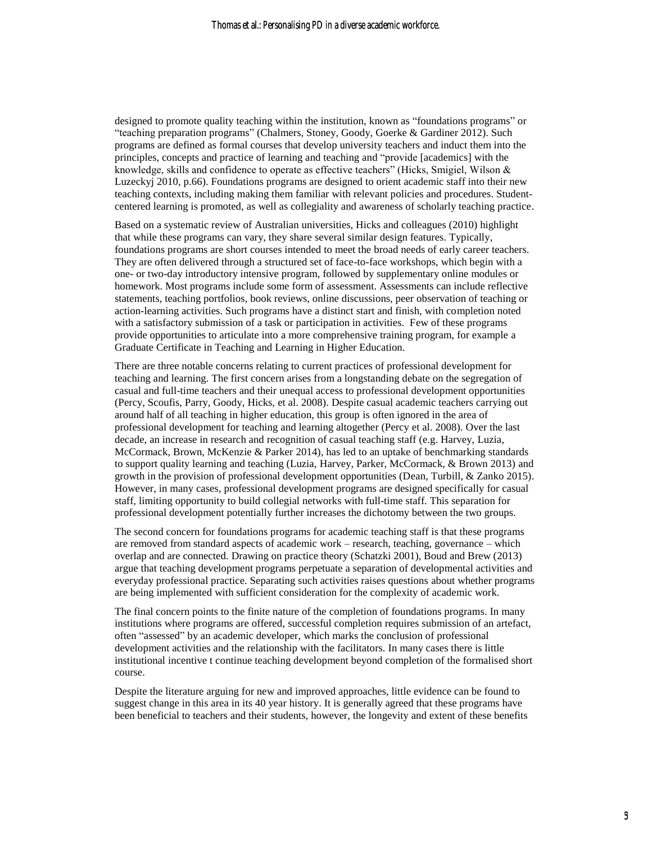designed to promote quality teaching within the institution, known as "foundations programs" or "teaching preparation programs" (Chalmers, Stoney, Goody, Goerke & Gardiner 2012). Such programs are defined as formal courses that develop university teachers and induct them into the principles, concepts and practice of learning and teaching and "provide [academics] with the knowledge, skills and confidence to operate as effective teachers" (Hicks, Smigiel, Wilson & Luzeckyj 2010, p.66). Foundations programs are designed to orient academic staff into their new teaching contexts, including making them familiar with relevant policies and procedures. Studentcentered learning is promoted, as well as collegiality and awareness of scholarly teaching practice.

Based on a systematic review of Australian universities, Hicks and colleagues (2010) highlight that while these programs can vary, they share several similar design features. Typically, foundations programs are short courses intended to meet the broad needs of early career teachers. They are often delivered through a structured set of face-to-face workshops, which begin with a one- or two-day introductory intensive program, followed by supplementary online modules or homework. Most programs include some form of assessment. Assessments can include reflective statements, teaching portfolios, book reviews, online discussions, peer observation of teaching or action-learning activities. Such programs have a distinct start and finish, with completion noted with a satisfactory submission of a task or participation in activities. Few of these programs provide opportunities to articulate into a more comprehensive training program, for example a Graduate Certificate in Teaching and Learning in Higher Education.

There are three notable concerns relating to current practices of professional development for teaching and learning. The first concern arises from a longstanding debate on the segregation of casual and full-time teachers and their unequal access to professional development opportunities (Percy, Scoufis, Parry, Goody, Hicks, et al. 2008). Despite casual academic teachers carrying out around half of all teaching in higher education, this group is often ignored in the area of professional development for teaching and learning altogether (Percy et al. 2008). Over the last decade, an increase in research and recognition of casual teaching staff (e.g. Harvey, Luzia, McCormack, Brown, McKenzie & Parker 2014), has led to an uptake of benchmarking standards to support quality learning and teaching (Luzia, Harvey, Parker, McCormack, & Brown 2013) and growth in the provision of professional development opportunities (Dean, Turbill, & Zanko 2015). However, in many cases, professional development programs are designed specifically for casual staff, limiting opportunity to build collegial networks with full-time staff. This separation for professional development potentially further increases the dichotomy between the two groups.

The second concern for foundations programs for academic teaching staff is that these programs are removed from standard aspects of academic work – research, teaching, governance – which overlap and are connected. Drawing on practice theory (Schatzki 2001), Boud and Brew (2013) argue that teaching development programs perpetuate a separation of developmental activities and everyday professional practice. Separating such activities raises questions about whether programs are being implemented with sufficient consideration for the complexity of academic work.

The final concern points to the finite nature of the completion of foundations programs. In many institutions where programs are offered, successful completion requires submission of an artefact, often "assessed" by an academic developer, which marks the conclusion of professional development activities and the relationship with the facilitators. In many cases there is little institutional incentive t continue teaching development beyond completion of the formalised short course.

Despite the literature arguing for new and improved approaches, little evidence can be found to suggest change in this area in its 40 year history. It is generally agreed that these programs have been beneficial to teachers and their students, however, the longevity and extent of these benefits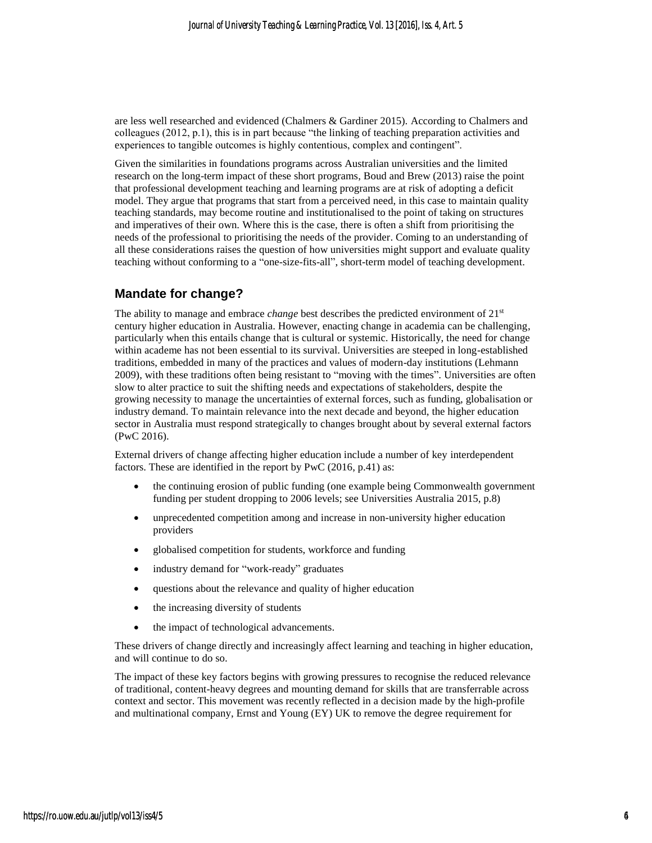are less well researched and evidenced (Chalmers & Gardiner 2015). According to Chalmers and colleagues (2012, p.1), this is in part because "the linking of teaching preparation activities and experiences to tangible outcomes is highly contentious, complex and contingent".

Given the similarities in foundations programs across Australian universities and the limited research on the long-term impact of these short programs, Boud and Brew (2013) raise the point that professional development teaching and learning programs are at risk of adopting a deficit model. They argue that programs that start from a perceived need, in this case to maintain quality teaching standards, may become routine and institutionalised to the point of taking on structures and imperatives of their own. Where this is the case, there is often a shift from prioritising the needs of the professional to prioritising the needs of the provider. Coming to an understanding of all these considerations raises the question of how universities might support and evaluate quality teaching without conforming to a "one-size-fits-all", short-term model of teaching development.

#### **Mandate for change?**

The ability to manage and embrace *change* best describes the predicted environment of 21<sup>st</sup> century higher education in Australia. However, enacting change in academia can be challenging, particularly when this entails change that is cultural or systemic. Historically, the need for change within academe has not been essential to its survival. Universities are steeped in long-established traditions, embedded in many of the practices and values of modern-day institutions (Lehmann 2009), with these traditions often being resistant to "moving with the times". Universities are often slow to alter practice to suit the shifting needs and expectations of stakeholders, despite the growing necessity to manage the uncertainties of external forces, such as funding, globalisation or industry demand. To maintain relevance into the next decade and beyond, the higher education sector in Australia must respond strategically to changes brought about by several external factors (PwC 2016).

External drivers of change affecting higher education include a number of key interdependent factors. These are identified in the report by PwC (2016, p.41) as:

- the continuing erosion of public funding (one example being Commonwealth government funding per student dropping to 2006 levels; see Universities Australia 2015, p.8)
- unprecedented competition among and increase in non-university higher education providers
- globalised competition for students, workforce and funding
- industry demand for "work-ready" graduates
- questions about the relevance and quality of higher education
- the increasing diversity of students
- the impact of technological advancements.

These drivers of change directly and increasingly affect learning and teaching in higher education, and will continue to do so.

The impact of these key factors begins with growing pressures to recognise the reduced relevance of traditional, content-heavy degrees and mounting demand for skills that are transferrable across context and sector. This movement was recently reflected in a decision made by the high-profile and multinational company, Ernst and Young (EY) UK to remove the degree requirement for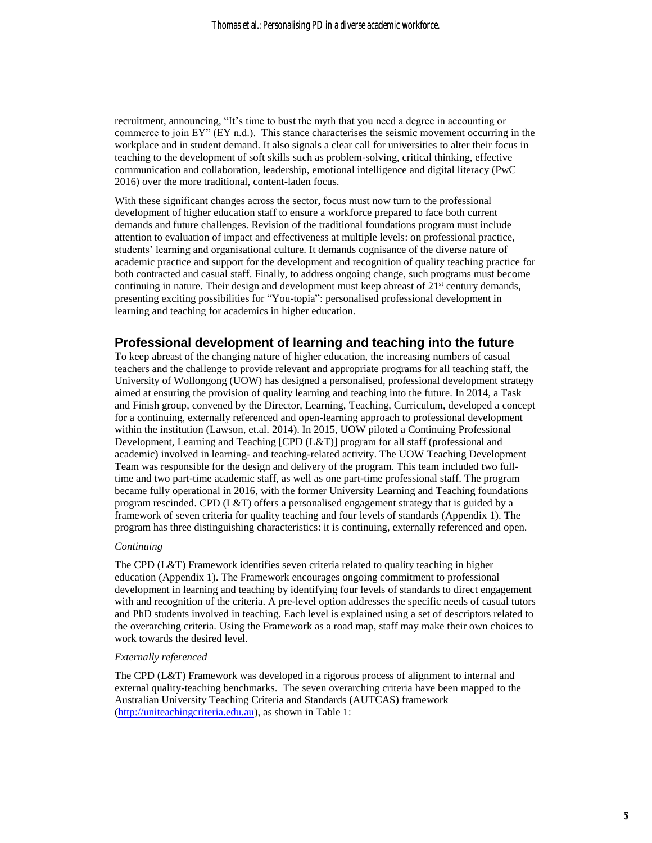recruitment, announcing, "It's time to bust the myth that you need a degree in accounting or commerce to join EY" (EY n.d.). This stance characterises the seismic movement occurring in the workplace and in student demand. It also signals a clear call for universities to alter their focus in teaching to the development of soft skills such as problem-solving, critical thinking, effective communication and collaboration, leadership, emotional intelligence and digital literacy (PwC 2016) over the more traditional, content-laden focus.

With these significant changes across the sector, focus must now turn to the professional development of higher education staff to ensure a workforce prepared to face both current demands and future challenges. Revision of the traditional foundations program must include attention to evaluation of impact and effectiveness at multiple levels: on professional practice, students' learning and organisational culture. It demands cognisance of the diverse nature of academic practice and support for the development and recognition of quality teaching practice for both contracted and casual staff. Finally, to address ongoing change, such programs must become continuing in nature. Their design and development must keep abreast of  $21<sup>st</sup>$  century demands, presenting exciting possibilities for "You-topia": personalised professional development in learning and teaching for academics in higher education.

#### **Professional development of learning and teaching into the future**

To keep abreast of the changing nature of higher education, the increasing numbers of casual teachers and the challenge to provide relevant and appropriate programs for all teaching staff, the University of Wollongong (UOW) has designed a personalised, professional development strategy aimed at ensuring the provision of quality learning and teaching into the future. In 2014, a Task and Finish group, convened by the Director, Learning, Teaching, Curriculum, developed a concept for a continuing, externally referenced and open-learning approach to professional development within the institution (Lawson, et.al. 2014). In 2015, UOW piloted a Continuing Professional Development, Learning and Teaching [CPD (L&T)] program for all staff (professional and academic) involved in learning- and teaching-related activity. The UOW Teaching Development Team was responsible for the design and delivery of the program. This team included two fulltime and two part-time academic staff, as well as one part-time professional staff. The program became fully operational in 2016, with the former University Learning and Teaching foundations program rescinded. CPD (L&T) offers a personalised engagement strategy that is guided by a framework of seven criteria for quality teaching and four levels of standards (Appendix 1). The program has three distinguishing characteristics: it is continuing, externally referenced and open.

#### *Continuing*

The CPD (L&T) Framework identifies seven criteria related to quality teaching in higher education (Appendix 1). The Framework encourages ongoing commitment to professional development in learning and teaching by identifying four levels of standards to direct engagement with and recognition of the criteria. A pre-level option addresses the specific needs of casual tutors and PhD students involved in teaching. Each level is explained using a set of descriptors related to the overarching criteria. Using the Framework as a road map, staff may make their own choices to work towards the desired level.

#### *Externally referenced*

The CPD (L&T) Framework was developed in a rigorous process of alignment to internal and external quality-teaching benchmarks. The seven overarching criteria have been mapped to the Australian University Teaching Criteria and Standards (AUTCAS) framework [\(http://uniteachingcriteria.edu.au\)](http://uniteachingcriteria.edu.au/), as shown in Table 1: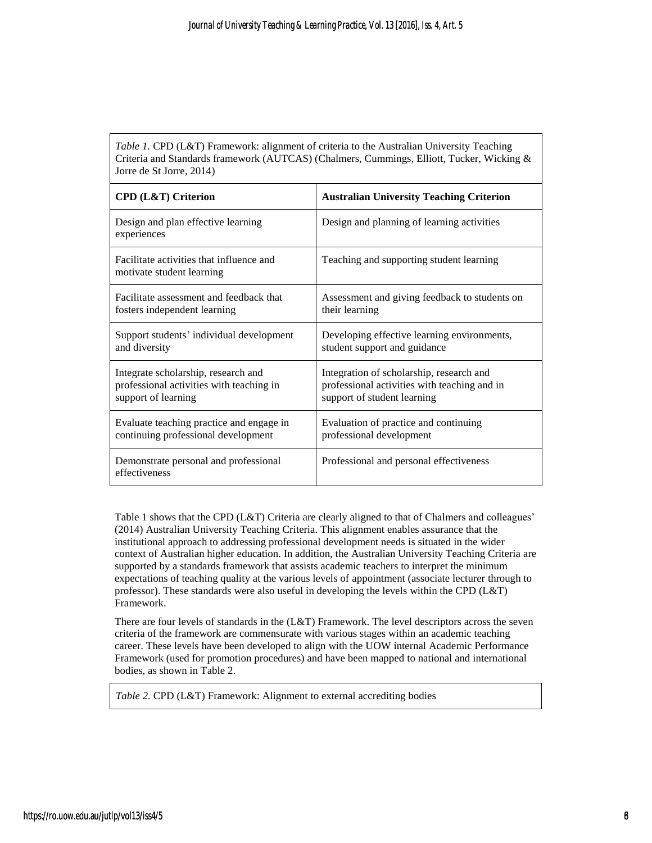*Table 1.* CPD (L&T) Framework: alignment of criteria to the Australian University Teaching Criteria and Standards framework (AUTCAS) (Chalmers, Cummings, Elliott, Tucker, Wicking & Jorre de St Jorre, 2014)

| <b>CPD (L&amp;T) Criterion</b>                                        | <b>Australian University Teaching Criterion</b> |  |  |
|-----------------------------------------------------------------------|-------------------------------------------------|--|--|
| Design and plan effective learning<br>experiences                     | Design and planning of learning activities      |  |  |
| Facilitate activities that influence and<br>motivate student learning | Teaching and supporting student learning        |  |  |
| Facilitate assessment and feedback that                               | Assessment and giving feedback to students on   |  |  |
| fosters independent learning                                          | their learning                                  |  |  |
| Support students' individual development                              | Developing effective learning environments,     |  |  |
| and diversity                                                         | student support and guidance                    |  |  |
| Integrate scholarship, research and                                   | Integration of scholarship, research and        |  |  |
| professional activities with teaching in                              | professional activities with teaching and in    |  |  |
| support of learning                                                   | support of student learning                     |  |  |
| Evaluate teaching practice and engage in                              | Evaluation of practice and continuing           |  |  |
| continuing professional development                                   | professional development                        |  |  |
| Demonstrate personal and professional<br>effectiveness                | Professional and personal effectiveness         |  |  |

Table 1 shows that the CPD (L&T) Criteria are clearly aligned to that of Chalmers and colleagues' (2014) Australian University Teaching Criteria. This alignment enables assurance that the institutional approach to addressing professional development needs is situated in the wider context of Australian higher education. In addition, the Australian University Teaching Criteria are supported by a standards framework that assists academic teachers to interpret the minimum expectations of teaching quality at the various levels of appointment (associate lecturer through to professor). These standards were also useful in developing the levels within the CPD (L&T) Framework.

There are four levels of standards in the (L&T) Framework. The level descriptors across the seven criteria of the framework are commensurate with various stages within an academic teaching career. These levels have been developed to align with the UOW internal Academic Performance Framework (used for promotion procedures) and have been mapped to national and international bodies, as shown in Table 2.

*Table 2.* CPD (L&T) Framework: Alignment to external accrediting bodies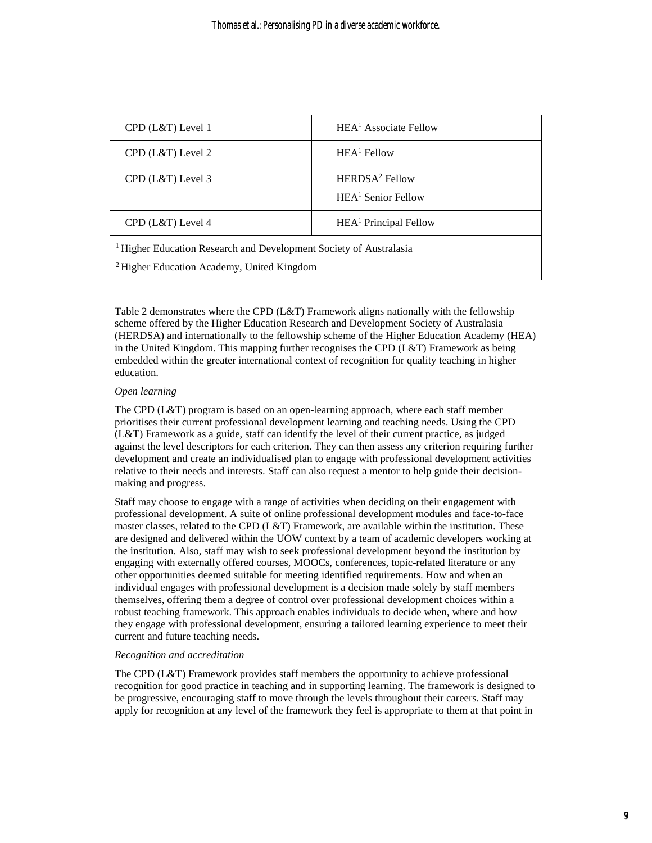| CPD (L&T) Level 1                                                                                                                      | HEA <sup>1</sup> Associate Fellow                  |  |  |
|----------------------------------------------------------------------------------------------------------------------------------------|----------------------------------------------------|--|--|
| CPD (L&T) Level 2                                                                                                                      | $HEA1$ Fellow                                      |  |  |
| CPD (L&T) Level 3                                                                                                                      | HERDSA <sup>2</sup> Fellow<br>$HEA1$ Senior Fellow |  |  |
| CPD (L&T) Level 4                                                                                                                      | HEA <sup>1</sup> Principal Fellow                  |  |  |
| <sup>1</sup> Higher Education Research and Development Society of Australasia<br><sup>2</sup> Higher Education Academy, United Kingdom |                                                    |  |  |

Table 2 demonstrates where the CPD (L&T) Framework aligns nationally with the fellowship scheme offered by the Higher Education Research and Development Society of Australasia (HERDSA) and internationally to the fellowship scheme of the Higher Education Academy (HEA) in the United Kingdom. This mapping further recognises the CPD  $(L&T)$  Framework as being embedded within the greater international context of recognition for quality teaching in higher education.

#### *Open learning*

The CPD (L&T) program is based on an open-learning approach, where each staff member prioritises their current professional development learning and teaching needs. Using the CPD (L&T) Framework as a guide, staff can identify the level of their current practice, as judged against the level descriptors for each criterion. They can then assess any criterion requiring further development and create an individualised plan to engage with professional development activities relative to their needs and interests. Staff can also request a mentor to help guide their decisionmaking and progress.

Staff may choose to engage with a range of activities when deciding on their engagement with professional development. A suite of online professional development modules and face-to-face master classes, related to the CPD (L&T) Framework, are available within the institution. These are designed and delivered within the UOW context by a team of academic developers working at the institution. Also, staff may wish to seek professional development beyond the institution by engaging with externally offered courses, MOOCs, conferences, topic-related literature or any other opportunities deemed suitable for meeting identified requirements. How and when an individual engages with professional development is a decision made solely by staff members themselves, offering them a degree of control over professional development choices within a robust teaching framework. This approach enables individuals to decide when, where and how they engage with professional development, ensuring a tailored learning experience to meet their current and future teaching needs.

#### *Recognition and accreditation*

The CPD (L&T) Framework provides staff members the opportunity to achieve professional recognition for good practice in teaching and in supporting learning. The framework is designed to be progressive, encouraging staff to move through the levels throughout their careers. Staff may apply for recognition at any level of the framework they feel is appropriate to them at that point in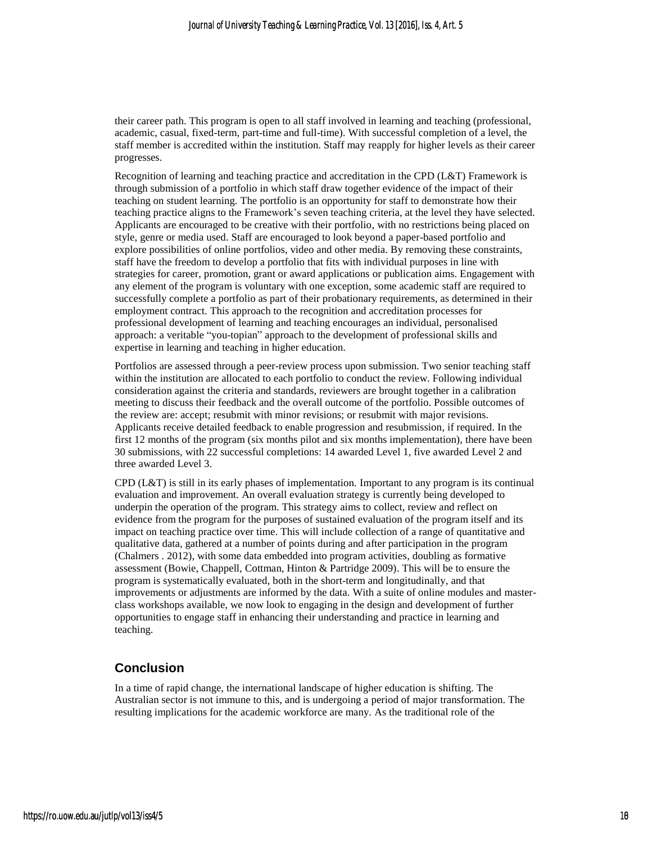their career path. This program is open to all staff involved in learning and teaching (professional, academic, casual, fixed-term, part-time and full-time). With successful completion of a level, the staff member is accredited within the institution. Staff may reapply for higher levels as their career progresses.

Recognition of learning and teaching practice and accreditation in the CPD (L&T) Framework is through submission of a portfolio in which staff draw together evidence of the impact of their teaching on student learning. The portfolio is an opportunity for staff to demonstrate how their teaching practice aligns to the Framework's seven teaching criteria, at the level they have selected. Applicants are encouraged to be creative with their portfolio, with no restrictions being placed on style, genre or media used. Staff are encouraged to look beyond a paper-based portfolio and explore possibilities of online portfolios, video and other media. By removing these constraints, staff have the freedom to develop a portfolio that fits with individual purposes in line with strategies for career, promotion, grant or award applications or publication aims. Engagement with any element of the program is voluntary with one exception, some academic staff are required to successfully complete a portfolio as part of their probationary requirements, as determined in their employment contract. This approach to the recognition and accreditation processes for professional development of learning and teaching encourages an individual, personalised approach: a veritable "you-topian" approach to the development of professional skills and expertise in learning and teaching in higher education.

Portfolios are assessed through a peer-review process upon submission. Two senior teaching staff within the institution are allocated to each portfolio to conduct the review. Following individual consideration against the criteria and standards, reviewers are brought together in a calibration meeting to discuss their feedback and the overall outcome of the portfolio. Possible outcomes of the review are: accept; resubmit with minor revisions; or resubmit with major revisions. Applicants receive detailed feedback to enable progression and resubmission, if required. In the first 12 months of the program (six months pilot and six months implementation), there have been 30 submissions, with 22 successful completions: 14 awarded Level 1, five awarded Level 2 and three awarded Level 3.

CPD (L&T) is still in its early phases of implementation. Important to any program is its continual evaluation and improvement. An overall evaluation strategy is currently being developed to underpin the operation of the program. This strategy aims to collect, review and reflect on evidence from the program for the purposes of sustained evaluation of the program itself and its impact on teaching practice over time. This will include collection of a range of quantitative and qualitative data, gathered at a number of points during and after participation in the program (Chalmers . 2012), with some data embedded into program activities, doubling as formative assessment (Bowie, Chappell, Cottman, Hinton & Partridge 2009). This will be to ensure the program is systematically evaluated, both in the short-term and longitudinally, and that improvements or adjustments are informed by the data. With a suite of online modules and masterclass workshops available, we now look to engaging in the design and development of further opportunities to engage staff in enhancing their understanding and practice in learning and teaching.

#### **Conclusion**

In a time of rapid change, the international landscape of higher education is shifting. The Australian sector is not immune to this, and is undergoing a period of major transformation. The resulting implications for the academic workforce are many. As the traditional role of the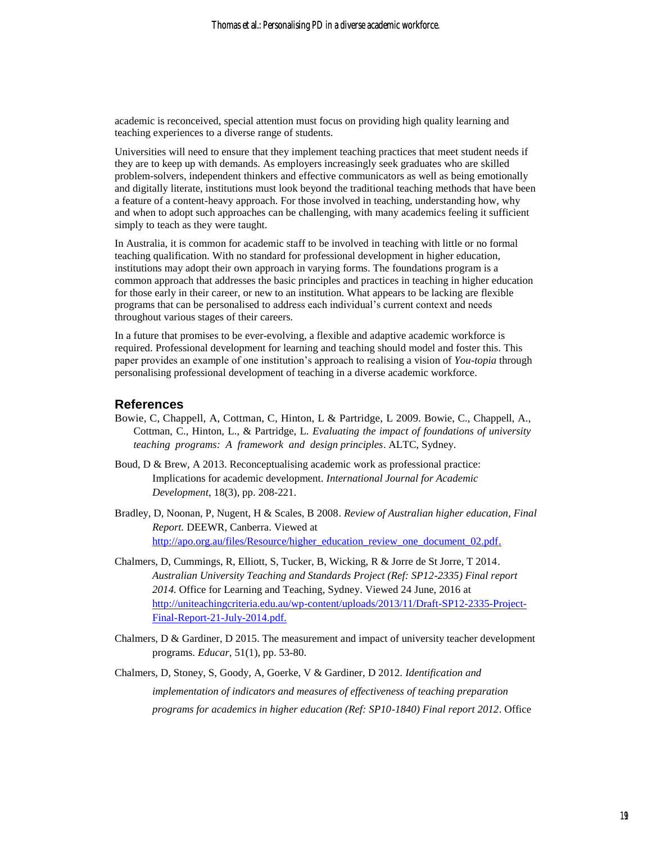academic is reconceived, special attention must focus on providing high quality learning and teaching experiences to a diverse range of students.

Universities will need to ensure that they implement teaching practices that meet student needs if they are to keep up with demands. As employers increasingly seek graduates who are skilled problem-solvers, independent thinkers and effective communicators as well as being emotionally and digitally literate, institutions must look beyond the traditional teaching methods that have been a feature of a content-heavy approach. For those involved in teaching, understanding how, why and when to adopt such approaches can be challenging, with many academics feeling it sufficient simply to teach as they were taught.

In Australia, it is common for academic staff to be involved in teaching with little or no formal teaching qualification. With no standard for professional development in higher education, institutions may adopt their own approach in varying forms. The foundations program is a common approach that addresses the basic principles and practices in teaching in higher education for those early in their career, or new to an institution. What appears to be lacking are flexible programs that can be personalised to address each individual's current context and needs throughout various stages of their careers.

In a future that promises to be ever-evolving, a flexible and adaptive academic workforce is required. Professional development for learning and teaching should model and foster this. This paper provides an example of one institution's approach to realising a vision of *You-topia* through personalising professional development of teaching in a diverse academic workforce.

#### **References**

- Bowie, C, Chappell, A, Cottman, C, Hinton, L & Partridge, L 2009. Bowie, C., Chappell, A., Cottman, C., Hinton, L., & Partridge, L. *Evaluating the impact of foundations of university teaching programs: A framework and design principles*. ALTC, Sydney.
- Boud, D & Brew, A 2013. Reconceptualising academic work as professional practice: Implications for academic development. *International Journal for Academic Development*, 18(3), pp. 208-221.
- Bradley, D, Noonan, P, Nugent, H & Scales, B 2008. *Review of Australian higher education, Final Report.* DEEWR, Canberra. Viewed at [http://apo.org.au/files/Resource/higher\\_education\\_review\\_one\\_document\\_02.pdf.](http://apo.org.au/files/Resource/higher_education_review_one_document_02.pdf)
- Chalmers, D, Cummings, R, Elliott, S, Tucker, B, Wicking, R & Jorre de St Jorre, T 2014. *Australian University Teaching and Standards Project (Ref: SP12-2335) Final report 2014.* Office for Learning and Teaching, Sydney. Viewed 24 June, 2016 at [http://uniteachingcriteria.edu.au/wp-content/uploads/2013/11/Draft-SP12-2335-Project-](http://uniteachingcriteria.edu.au/wp-content/uploads/2013/11/Draft-SP12-2335-Project-Final-Report-21-July-2014.pdf)[Final-Report-21-July-2014.pdf.](http://uniteachingcriteria.edu.au/wp-content/uploads/2013/11/Draft-SP12-2335-Project-Final-Report-21-July-2014.pdf)
- Chalmers, D & Gardiner, D 2015. The measurement and impact of university teacher development programs. *Educar*, 51(1), pp. 53-80.
- Chalmers, D, Stoney, S, Goody, A, Goerke, V & Gardiner, D 2012. *Identification and implementation of indicators and measures of effectiveness of teaching preparation programs for academics in higher education (Ref: SP10-1840) Final report 2012*. Office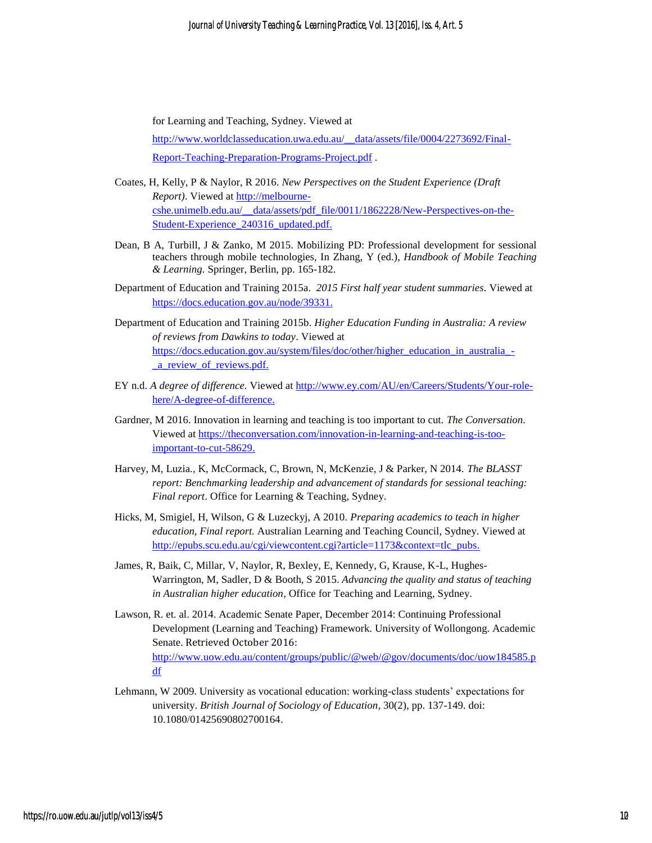for Learning and Teaching, Sydney. Viewed at

[http://www.worldclasseducation.uwa.edu.au/\\_\\_data/assets/file/0004/2273692/Final-](http://www.worldclasseducation.uwa.edu.au/__data/assets/file/0004/2273692/Final-Report-Teaching-Preparation-Programs-Project.pdf)[Report-Teaching-Preparation-Programs-Project.pdf](http://www.worldclasseducation.uwa.edu.au/__data/assets/file/0004/2273692/Final-Report-Teaching-Preparation-Programs-Project.pdf) .

- Coates, H, Kelly, P & Naylor, R 2016. *New Perspectives on the Student Experience (Draft Report)*. Viewed at [http://melbourne](http://melbourne-cshe.unimelb.edu.au/__data/assets/pdf_file/0011/1862228/New-Perspectives-on-the-Student-Experience_240316_updated.pdf)[cshe.unimelb.edu.au/\\_\\_data/assets/pdf\\_file/0011/1862228/New-Perspectives-on-the-](http://melbourne-cshe.unimelb.edu.au/__data/assets/pdf_file/0011/1862228/New-Perspectives-on-the-Student-Experience_240316_updated.pdf)Student-Experience 240316 updated.pdf.
- Dean, B A, Turbill, J & Zanko, M 2015. Mobilizing PD: Professional development for sessional teachers through mobile technologies, In Zhang, Y (ed.), *Handbook of Mobile Teaching & Learning.* Springer, Berlin, pp. 165-182.
- Department of Education and Training 2015a. *2015 First half year student summaries*. Viewed at [https://docs.education.gov.au/node/39331.](https://docs.education.gov.au/node/39331)
- Department of Education and Training 2015b. *Higher Education Funding in Australia: A review of reviews from Dawkins to today*. Viewed at [https://docs.education.gov.au/system/files/doc/other/higher\\_education\\_in\\_australia\\_-](https://docs.education.gov.au/system/files/doc/other/higher_education_in_australia_-_a_review_of_reviews.pdf) [\\_a\\_review\\_of\\_reviews.pdf.](https://docs.education.gov.au/system/files/doc/other/higher_education_in_australia_-_a_review_of_reviews.pdf)
- EY n.d. *A degree of difference.* Viewed at [http://www.ey.com/AU/en/Careers/Students/Your-role](http://www.ey.com/AU/en/Careers/Students/Your-role-here/A-degree-of-difference)[here/A-degree-of-difference.](http://www.ey.com/AU/en/Careers/Students/Your-role-here/A-degree-of-difference)
- Gardner, M 2016. Innovation in learning and teaching is too important to cut. *The Conversation.*  Viewed at [https://theconversation.com/innovation-in-learning-and-teaching-is-too](https://theconversation.com/innovation-in-learning-and-teaching-is-too-important-to-cut-58629)[important-to-cut-58629.](https://theconversation.com/innovation-in-learning-and-teaching-is-too-important-to-cut-58629)
- Harvey, M, Luzia., K, McCormack, C, Brown, N, McKenzie, J & Parker, N 2014. *The BLASST report: Benchmarking leadership and advancement of standards for sessional teaching: Final report*. Office for Learning & Teaching, Sydney.
- Hicks, M, Smigiel, H, Wilson, G & Luzeckyj, A 2010. *Preparing academics to teach in higher education, Final report.* Australian Learning and Teaching Council, Sydney. Viewed at [http://epubs.scu.edu.au/cgi/viewcontent.cgi?article=1173&context=tlc\\_pubs.](http://epubs.scu.edu.au/cgi/viewcontent.cgi?article=1173&context=tlc_pubs)
- James, R, Baik, C, Millar, V, Naylor, R, Bexley, E, Kennedy, G, Krause, K-L, Hughes-Warrington, M, Sadler, D & Booth, S 2015. *Advancing the quality and status of teaching in Australian higher education*, Office for Teaching and Learning, Sydney.
- Lawson, R. et. al. 2014. Academic Senate Paper, December 2014: Continuing Professional Development (Learning and Teaching) Framework. University of Wollongong. Academic Senate. Retrieved October 2016: [http://www.uow.edu.au/content/groups/public/@web/@gov/documents/doc/uow184585.p](http://www.uow.edu.au/content/groups/public/@web/@gov/documents/doc/uow184585.pdf) [df](http://www.uow.edu.au/content/groups/public/@web/@gov/documents/doc/uow184585.pdf)
- Lehmann, W 2009. University as vocational education: working-class students' expectations for university. *British Journal of Sociology of Education*, 30(2)*,* pp. 137-149. doi: 10.1080/01425690802700164.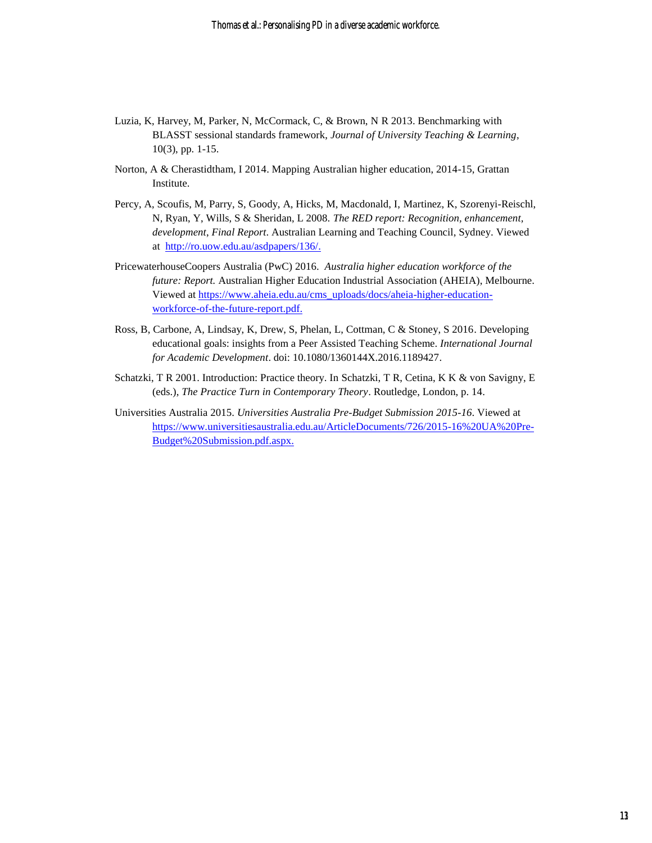- Luzia, K, Harvey, M, Parker, N, McCormack, C, & Brown, N R 2013. Benchmarking with BLASST sessional standards framework, *Journal of University Teaching & Learning*, 10(3), pp. 1-15.
- Norton, A & Cherastidtham, I 2014. Mapping Australian higher education, 2014-15, Grattan Institute.
- Percy, A, Scoufis, M, Parry, S, Goody, A, Hicks, M, Macdonald, I, Martinez, K, Szorenyi-Reischl, N, Ryan, Y, Wills, S & Sheridan, L 2008. *The RED report: Recognition, enhancement, development*, *Final Report*. Australian Learning and Teaching Council, Sydney. Viewed at [http://ro.uow.edu.au/asdpapers/136/.](http://ro.uow.edu.au/asdpapers/136/)
- PricewaterhouseCoopers Australia (PwC) 2016. *Australia higher education workforce of the future: Report.* Australian Higher Education Industrial Association (AHEIA), Melbourne. Viewed at [https://www.aheia.edu.au/cms\\_uploads/docs/aheia-higher-education](https://www.aheia.edu.au/cms_uploads/docs/aheia-higher-education-workforce-of-the-future-report.pdf)[workforce-of-the-future-report.pdf.](https://www.aheia.edu.au/cms_uploads/docs/aheia-higher-education-workforce-of-the-future-report.pdf)
- Ross, B, Carbone, A, Lindsay, K, Drew, S, Phelan, L, Cottman, C & Stoney, S 2016. Developing educational goals: insights from a Peer Assisted Teaching Scheme. *International Journal for Academic Development*. doi: 10.1080/1360144X.2016.1189427.
- Schatzki, T R 2001. Introduction: Practice theory. In Schatzki, T R, Cetina, K K & von Savigny, E (eds.), *The Practice Turn in Contemporary Theory*. Routledge, London, p. 14.
- Universities Australia 2015. *Universities Australia Pre-Budget Submission 2015-16*. Viewed at [https://www.universitiesaustralia.edu.au/ArticleDocuments/726/2015-16%20UA%20Pre-](https://www.universitiesaustralia.edu.au/ArticleDocuments/726/2015-16%20UA%20Pre-Budget%20Submission.pdf.aspx)[Budget%20Submission.pdf.aspx.](https://www.universitiesaustralia.edu.au/ArticleDocuments/726/2015-16%20UA%20Pre-Budget%20Submission.pdf.aspx)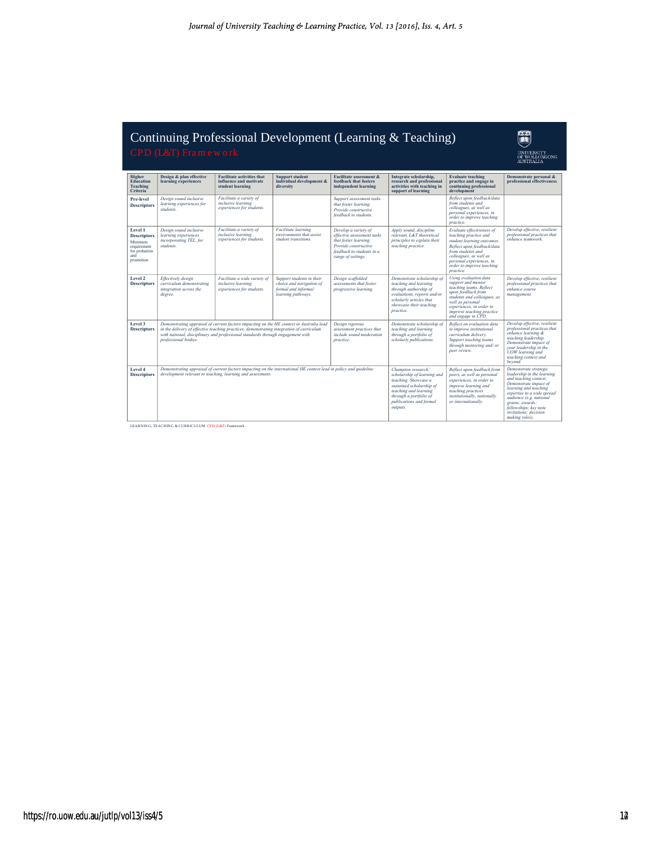# Continuing Professional Development (Learning & Teaching) Continuing Profession<br>CPD (L&T) Fram ew ork<br>Higher Lesign & plan effective Pracilitate ac

U UNIVERSITY<br>OF WOLLONGONG<br>AUSTRALIA

| Higher<br><b>Education</b><br><b>Teaching</b><br>Criteria                                    | Design & plan effective<br>learning experiences                                                                                                                                                                                                                                                | <b>Facilitate activities that</b><br>influence and motivate<br>student learning | <b>Support student</b><br>individual development &<br>diversity                                    | <b>Facilitate assessment &amp;</b><br>feedback that fosters<br>independent learning                                                                    | Integrate scholarship.<br>research and professional<br>activities with teaching in<br>support of learning                                                                                       | <b>Evaluate teaching</b><br>practice and engage in<br>continuing professional<br>development                                                                                                                                        | Demonstrate personal &<br>professional effectiveness                                                                                                                                                                                                                           |
|----------------------------------------------------------------------------------------------|------------------------------------------------------------------------------------------------------------------------------------------------------------------------------------------------------------------------------------------------------------------------------------------------|---------------------------------------------------------------------------------|----------------------------------------------------------------------------------------------------|--------------------------------------------------------------------------------------------------------------------------------------------------------|-------------------------------------------------------------------------------------------------------------------------------------------------------------------------------------------------|-------------------------------------------------------------------------------------------------------------------------------------------------------------------------------------------------------------------------------------|--------------------------------------------------------------------------------------------------------------------------------------------------------------------------------------------------------------------------------------------------------------------------------|
| Pre-level<br><b>Descriptors</b>                                                              | Design sound inclusive<br>learning experiences for<br>students                                                                                                                                                                                                                                 | Facilitate a variety of<br>inclusive learning<br>experiences for students.      |                                                                                                    | Support assessment tasks<br>that foster learning.<br>Provide constructive<br>feedback to students.                                                     |                                                                                                                                                                                                 | Reflect upon feedback/data<br>from students and<br>colleagues, as well as<br>personal experiences, in<br>order to improve teaching<br>practice.                                                                                     |                                                                                                                                                                                                                                                                                |
| Level 1<br><b>Descriptors</b><br>Minimum<br>requirement<br>for probation<br>and<br>promotion | Design sound inclusive<br>learning experiences<br>incorporating TEL, for<br>students                                                                                                                                                                                                           | Facilitate a variety of<br>inclusive learning<br>experiences for students.      | Facilitate learning<br>environments that assist<br>student transitions.                            | Develop a variety of<br>effective assessment tasks<br>that foster learning.<br>Provide constructive<br>feedback to students in a<br>range of settings. | Apply sound, discipline<br>relevant, L&T theoretical<br>principles to explain their<br>teaching practice.                                                                                       | Evaluate effectiveness of<br>teaching practice and<br>student learning outcomes.<br>Reflect upon feedback/data<br>from students and<br>colleagues, as well as<br>personal experiences, in<br>order to improve teaching<br>practice. | Develop effective, resilient<br>professional practices that<br>enhance teamwork.                                                                                                                                                                                               |
| Level 2<br><b>Descriptors</b>                                                                | Effectively design<br>curriculum demonstrating<br>integration across the<br>degree.                                                                                                                                                                                                            | Facilitate a wide variety of<br>inclusive learning<br>experiences for students. | Support students in their<br>choice and navigation of<br>formal and informal<br>learning pathways. | Design scaffolded<br>assessments that foster<br>progressive learning.                                                                                  | Demonstrate scholarship of<br>teaching and learning<br>through authorship of<br>evaluations, reports and/or<br>scholarly articles that<br>showcase their teaching<br>practice.                  | Using evaluation data<br>support and mentor<br>teaching teams. Reflect<br>upon feedback from<br>students and colleagues, as<br>well as personal<br>experiences, in order to<br>improve teaching practice<br>and engage in CPD.      | Develop effective, resilient<br>professional practices that<br>enhance course<br>management.                                                                                                                                                                                   |
| Level 3<br><b>Descriptors</b>                                                                | Demonstrating appraisal of current factors impacting on the HE context in Australia lead<br>in the delivery of effective teaching practices, demonstrating integration of curriculum<br>with national, disciplinary and professional standards through engagement with<br>professional bodies. |                                                                                 |                                                                                                    | Design rigorous<br>assessment practices that<br>include sound moderation<br>practice.                                                                  | Demonstrate scholarship of<br>teaching and learning<br>through a portfolio of<br>scholarly publications.                                                                                        | Reflect on evaluation data<br>to improve institutional<br>curriculum delivery.<br>Support teaching teams<br>through mentoring and/ or<br>peer review.                                                                               | Develop effective, resilient<br>professional practices that<br>enhance learning &<br>teaching leadership.<br>Demonstrate impact of<br>vour leadership in the<br>UOW learning and<br>teaching context and<br>bevond.                                                            |
| Level 4<br><b>Descriptors</b>                                                                | Demonstrating appraisal of current factors impacting on the international HE context lead in policy and guideline<br>development relevant to teaching, learning and assessment.                                                                                                                |                                                                                 |                                                                                                    |                                                                                                                                                        | Champion research/<br>scholarship of learning and<br>teaching. Showcase a<br>sustained scholarship of<br>teaching and learning<br>through a portfolio of<br>publications and formal<br>outputs. | Reflect upon feedback from<br>peers, as well as personal<br>experiences, in order to<br>improve learning and<br>teaching practices<br>institutionally, nationally<br>or internationally.                                            | Demonstrate strategic<br>leadership in the learning<br>and teaching context.<br>Demonstrate impact of<br>learning and teaching<br>expertise to a wide spread<br>audience (e.g. national<br>grants; awards;<br>fellowships: key note<br>invitations: decision<br>making roles). |

LEARNING, TEACHING & CURRICULUM CPD (L&T) Framework